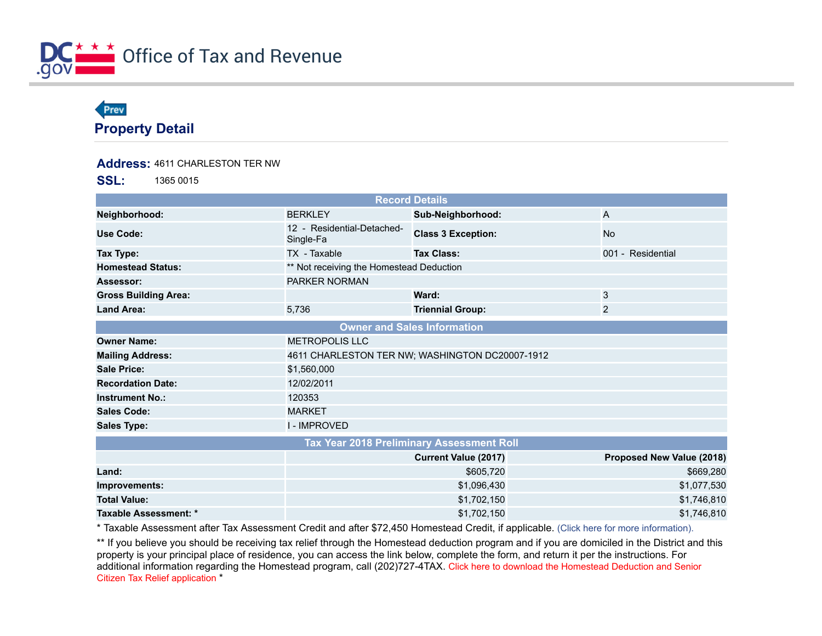

## Prev **Property Detail**

## **Address:** 4611 CHARLESTON TER NW

**SSL:** 1365 0015

| <b>Record Details</b>                     |                                                 |                             |                           |
|-------------------------------------------|-------------------------------------------------|-----------------------------|---------------------------|
| Neighborhood:                             | <b>BERKLEY</b>                                  | Sub-Neighborhood:           | A                         |
| Use Code:                                 | 12 - Residential-Detached-<br>Single-Fa         | <b>Class 3 Exception:</b>   | <b>No</b>                 |
| Tax Type:                                 | TX - Taxable                                    | <b>Tax Class:</b>           | 001 - Residential         |
| <b>Homestead Status:</b>                  | ** Not receiving the Homestead Deduction        |                             |                           |
| Assessor:                                 | <b>PARKER NORMAN</b>                            |                             |                           |
| <b>Gross Building Area:</b>               |                                                 | Ward:                       | 3                         |
| <b>Land Area:</b>                         | 5,736                                           | <b>Triennial Group:</b>     | $\overline{2}$            |
| <b>Owner and Sales Information</b>        |                                                 |                             |                           |
| <b>Owner Name:</b>                        | <b>METROPOLIS LLC</b>                           |                             |                           |
| <b>Mailing Address:</b>                   | 4611 CHARLESTON TER NW; WASHINGTON DC20007-1912 |                             |                           |
| <b>Sale Price:</b>                        | \$1,560,000                                     |                             |                           |
| <b>Recordation Date:</b>                  | 12/02/2011                                      |                             |                           |
| <b>Instrument No.:</b>                    | 120353                                          |                             |                           |
| <b>Sales Code:</b>                        | <b>MARKET</b>                                   |                             |                           |
| <b>Sales Type:</b>                        | <b>I-IMPROVED</b>                               |                             |                           |
| Tax Year 2018 Preliminary Assessment Roll |                                                 |                             |                           |
|                                           |                                                 | <b>Current Value (2017)</b> | Proposed New Value (2018) |
| Land:                                     |                                                 | \$605,720                   | \$669,280                 |
| Improvements:                             |                                                 | \$1,096,430                 | \$1,077,530               |
| <b>Total Value:</b>                       |                                                 | \$1,702,150                 | \$1,746,810               |
| Taxable Assessment: *                     |                                                 | \$1,702,150                 | \$1,746,810               |

\* Taxable Assessment after Tax Assessment Credit and after \$72,450 Homestead Credit, if applicable. [\(Click here for more information\).](http://otr.cfo.dc.gov/page/other-credits-and-deductions)

\*\* If you believe you should be receiving tax relief through the Homestead deduction program and if you are domiciled in the District and this property is your principal place of residence, you can access the link below, complete the form, and return it per the instructions. For additional information regarding the Homestead program, call (202)727-4TAX. Click here to download the Homestead Deduction and Senior Citizen Tax Relief application \*